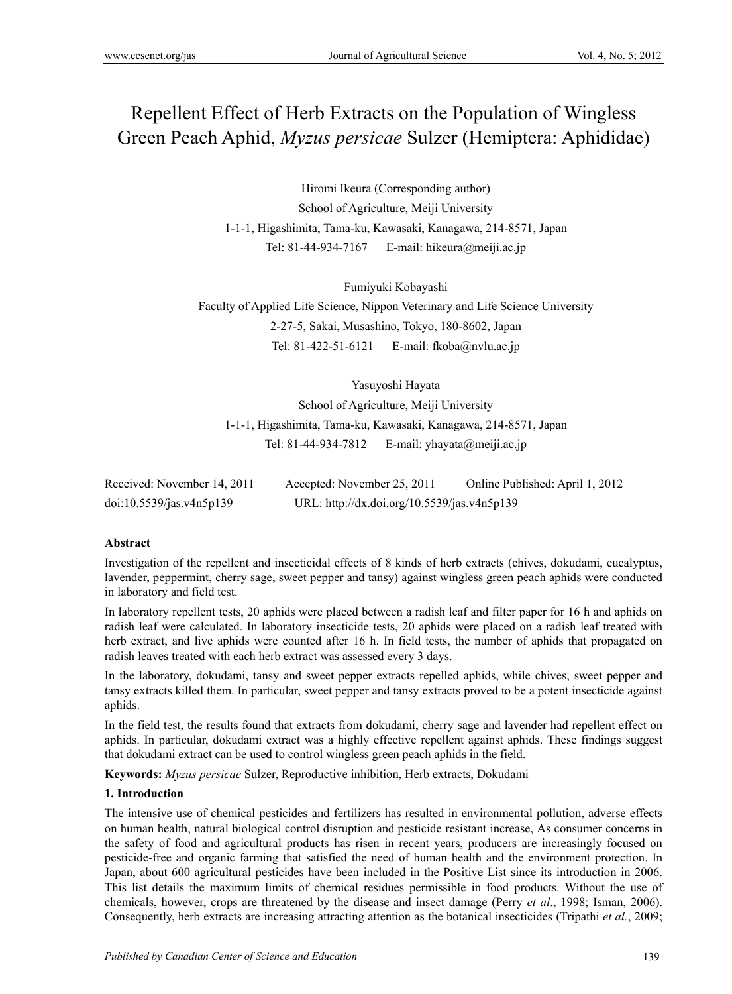# Repellent Effect of Herb Extracts on the Population of Wingless Green Peach Aphid, *Myzus persicae* Sulzer (Hemiptera: Aphididae)

Hiromi Ikeura (Corresponding author) School of Agriculture, Meiji University 1-1-1, Higashimita, Tama-ku, Kawasaki, Kanagawa, 214-8571, Japan Tel: 81-44-934-7167 E-mail: hikeura@meiji.ac.jp

Fumiyuki Kobayashi

Faculty of Applied Life Science, Nippon Veterinary and Life Science University 2-27-5, Sakai, Musashino, Tokyo, 180-8602, Japan Tel: 81-422-51-6121 E-mail: fkoba@nvlu.ac.jp

Yasuyoshi Hayata

School of Agriculture, Meiji University 1-1-1, Higashimita, Tama-ku, Kawasaki, Kanagawa, 214-8571, Japan Tel: 81-44-934-7812 E-mail: yhavata@meiji.ac.jp

| Received: November 14, 2011 | Accepted: November 25, 2011                 | Online Published: April 1, 2012 |
|-----------------------------|---------------------------------------------|---------------------------------|
| doi:10.5539/jas.v4n5p139    | URL: http://dx.doi.org/10.5539/jas.v4n5p139 |                                 |

#### **Abstract**

Investigation of the repellent and insecticidal effects of 8 kinds of herb extracts (chives, dokudami, eucalyptus, lavender, peppermint, cherry sage, sweet pepper and tansy) against wingless green peach aphids were conducted in laboratory and field test.

In laboratory repellent tests, 20 aphids were placed between a radish leaf and filter paper for 16 h and aphids on radish leaf were calculated. In laboratory insecticide tests, 20 aphids were placed on a radish leaf treated with herb extract, and live aphids were counted after 16 h. In field tests, the number of aphids that propagated on radish leaves treated with each herb extract was assessed every 3 days.

In the laboratory, dokudami, tansy and sweet pepper extracts repelled aphids, while chives, sweet pepper and tansy extracts killed them. In particular, sweet pepper and tansy extracts proved to be a potent insecticide against aphids.

In the field test, the results found that extracts from dokudami, cherry sage and lavender had repellent effect on aphids. In particular, dokudami extract was a highly effective repellent against aphids. These findings suggest that dokudami extract can be used to control wingless green peach aphids in the field.

**Keywords:** *Myzus persicae* Sulzer, Reproductive inhibition, Herb extracts, Dokudami

#### **1. Introduction**

The intensive use of chemical pesticides and fertilizers has resulted in environmental pollution, adverse effects on human health, natural biological control disruption and pesticide resistant increase, As consumer concerns in the safety of food and agricultural products has risen in recent years, producers are increasingly focused on pesticide-free and organic farming that satisfied the need of human health and the environment protection. In Japan, about 600 agricultural pesticides have been included in the Positive List since its introduction in 2006. This list details the maximum limits of chemical residues permissible in food products. Without the use of chemicals, however, crops are threatened by the disease and insect damage (Perry *et al*., 1998; Isman, 2006). Consequently, herb extracts are increasing attracting attention as the botanical insecticides (Tripathi *et al.*, 2009;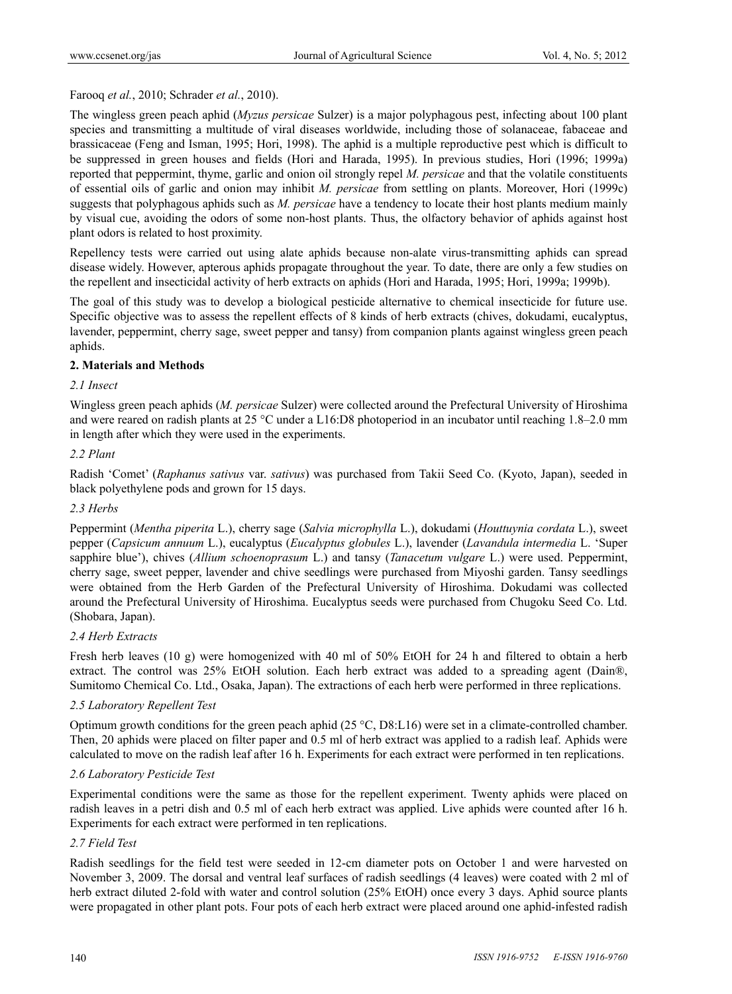# Farooq *et al.*, 2010; Schrader *et al.*, 2010).

The wingless green peach aphid (*Myzus persicae* Sulzer) is a major polyphagous pest, infecting about 100 plant species and transmitting a multitude of viral diseases worldwide, including those of solanaceae, fabaceae and brassicaceae (Feng and Isman, 1995; Hori, 1998). The aphid is a multiple reproductive pest which is difficult to be suppressed in green houses and fields (Hori and Harada, 1995). In previous studies, Hori (1996; 1999a) reported that peppermint, thyme, garlic and onion oil strongly repel *M. persicae* and that the volatile constituents of essential oils of garlic and onion may inhibit *M. persicae* from settling on plants. Moreover, Hori (1999c) suggests that polyphagous aphids such as *M. persicae* have a tendency to locate their host plants medium mainly by visual cue, avoiding the odors of some non-host plants. Thus, the olfactory behavior of aphids against host plant odors is related to host proximity.

Repellency tests were carried out using alate aphids because non-alate virus-transmitting aphids can spread disease widely. However, apterous aphids propagate throughout the year. To date, there are only a few studies on the repellent and insecticidal activity of herb extracts on aphids (Hori and Harada, 1995; Hori, 1999a; 1999b).

The goal of this study was to develop a biological pesticide alternative to chemical insecticide for future use. Specific objective was to assess the repellent effects of 8 kinds of herb extracts (chives, dokudami, eucalyptus, lavender, peppermint, cherry sage, sweet pepper and tansy) from companion plants against wingless green peach aphids.

# **2. Materials and Methods**

## *2.1 Insect*

Wingless green peach aphids (*M. persicae* Sulzer) were collected around the Prefectural University of Hiroshima and were reared on radish plants at 25 °C under a L16:D8 photoperiod in an incubator until reaching 1.8–2.0 mm in length after which they were used in the experiments.

## *2.2 Plant*

Radish 'Comet' (*Raphanus sativus* var. *sativus*) was purchased from Takii Seed Co. (Kyoto, Japan), seeded in black polyethylene pods and grown for 15 days.

## *2.3 Herbs*

Peppermint (*Mentha piperita* L.), cherry sage (*Salvia microphylla* L.), dokudami (*Houttuynia cordata* L.), sweet pepper (*Capsicum annuum* L.), eucalyptus (*Eucalyptus globules* L.), lavender (*Lavandula intermedia* L. 'Super sapphire blue'), chives (*Allium schoenoprasum* L.) and tansy (*Tanacetum vulgare* L.) were used. Peppermint, cherry sage, sweet pepper, lavender and chive seedlings were purchased from Miyoshi garden. Tansy seedlings were obtained from the Herb Garden of the Prefectural University of Hiroshima. Dokudami was collected around the Prefectural University of Hiroshima. Eucalyptus seeds were purchased from Chugoku Seed Co. Ltd. (Shobara, Japan).

## *2.4 Herb Extracts*

Fresh herb leaves (10 g) were homogenized with 40 ml of 50% EtOH for 24 h and filtered to obtain a herb extract. The control was 25% EtOH solution. Each herb extract was added to a spreading agent (Dain®, Sumitomo Chemical Co. Ltd., Osaka, Japan). The extractions of each herb were performed in three replications.

## *2.5 Laboratory Repellent Test*

Optimum growth conditions for the green peach aphid (25 °C, D8:L16) were set in a climate-controlled chamber. Then, 20 aphids were placed on filter paper and 0.5 ml of herb extract was applied to a radish leaf. Aphids were calculated to move on the radish leaf after 16 h. Experiments for each extract were performed in ten replications.

## *2.6 Laboratory Pesticide Test*

Experimental conditions were the same as those for the repellent experiment. Twenty aphids were placed on radish leaves in a petri dish and 0.5 ml of each herb extract was applied. Live aphids were counted after 16 h. Experiments for each extract were performed in ten replications.

## *2.7 Field Test*

Radish seedlings for the field test were seeded in 12-cm diameter pots on October 1 and were harvested on November 3, 2009. The dorsal and ventral leaf surfaces of radish seedlings (4 leaves) were coated with 2 ml of herb extract diluted 2-fold with water and control solution (25% EtOH) once every 3 days. Aphid source plants were propagated in other plant pots. Four pots of each herb extract were placed around one aphid-infested radish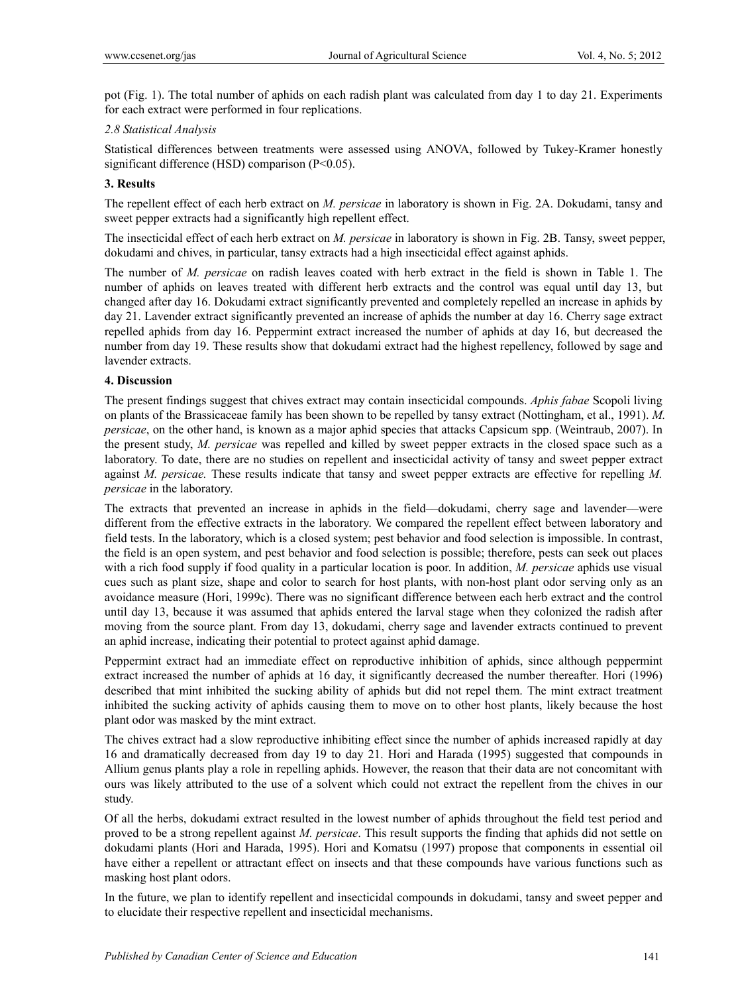pot (Fig. 1). The total number of aphids on each radish plant was calculated from day 1 to day 21. Experiments for each extract were performed in four replications.

#### *2.8 Statistical Analysis*

Statistical differences between treatments were assessed using ANOVA, followed by Tukey-Kramer honestly significant difference (HSD) comparison (P<0.05).

#### **3. Results**

The repellent effect of each herb extract on *M. persicae* in laboratory is shown in Fig. 2A. Dokudami, tansy and sweet pepper extracts had a significantly high repellent effect.

The insecticidal effect of each herb extract on *M. persicae* in laboratory is shown in Fig. 2B. Tansy, sweet pepper, dokudami and chives, in particular, tansy extracts had a high insecticidal effect against aphids.

The number of *M. persicae* on radish leaves coated with herb extract in the field is shown in Table 1. The number of aphids on leaves treated with different herb extracts and the control was equal until day 13, but changed after day 16. Dokudami extract significantly prevented and completely repelled an increase in aphids by day 21. Lavender extract significantly prevented an increase of aphids the number at day 16. Cherry sage extract repelled aphids from day 16. Peppermint extract increased the number of aphids at day 16, but decreased the number from day 19. These results show that dokudami extract had the highest repellency, followed by sage and lavender extracts.

#### **4. Discussion**

The present findings suggest that chives extract may contain insecticidal compounds. *Aphis fabae* Scopoli living on plants of the Brassicaceae family has been shown to be repelled by tansy extract (Nottingham, et al., 1991). *M. persicae*, on the other hand, is known as a major aphid species that attacks Capsicum spp. (Weintraub, 2007). In the present study, *M. persicae* was repelled and killed by sweet pepper extracts in the closed space such as a laboratory. To date, there are no studies on repellent and insecticidal activity of tansy and sweet pepper extract against *M. persicae.* These results indicate that tansy and sweet pepper extracts are effective for repelling *M. persicae* in the laboratory.

The extracts that prevented an increase in aphids in the field––dokudami, cherry sage and lavender––were different from the effective extracts in the laboratory. We compared the repellent effect between laboratory and field tests. In the laboratory, which is a closed system; pest behavior and food selection is impossible. In contrast, the field is an open system, and pest behavior and food selection is possible; therefore, pests can seek out places with a rich food supply if food quality in a particular location is poor. In addition, *M. persicae* aphids use visual cues such as plant size, shape and color to search for host plants, with non-host plant odor serving only as an avoidance measure (Hori, 1999c). There was no significant difference between each herb extract and the control until day 13, because it was assumed that aphids entered the larval stage when they colonized the radish after moving from the source plant. From day 13, dokudami, cherry sage and lavender extracts continued to prevent an aphid increase, indicating their potential to protect against aphid damage.

Peppermint extract had an immediate effect on reproductive inhibition of aphids, since although peppermint extract increased the number of aphids at 16 day, it significantly decreased the number thereafter. Hori (1996) described that mint inhibited the sucking ability of aphids but did not repel them. The mint extract treatment inhibited the sucking activity of aphids causing them to move on to other host plants, likely because the host plant odor was masked by the mint extract.

The chives extract had a slow reproductive inhibiting effect since the number of aphids increased rapidly at day 16 and dramatically decreased from day 19 to day 21. Hori and Harada (1995) suggested that compounds in Allium genus plants play a role in repelling aphids. However, the reason that their data are not concomitant with ours was likely attributed to the use of a solvent which could not extract the repellent from the chives in our study.

Of all the herbs, dokudami extract resulted in the lowest number of aphids throughout the field test period and proved to be a strong repellent against *M. persicae*. This result supports the finding that aphids did not settle on dokudami plants (Hori and Harada, 1995). Hori and Komatsu (1997) propose that components in essential oil have either a repellent or attractant effect on insects and that these compounds have various functions such as masking host plant odors.

In the future, we plan to identify repellent and insecticidal compounds in dokudami, tansy and sweet pepper and to elucidate their respective repellent and insecticidal mechanisms.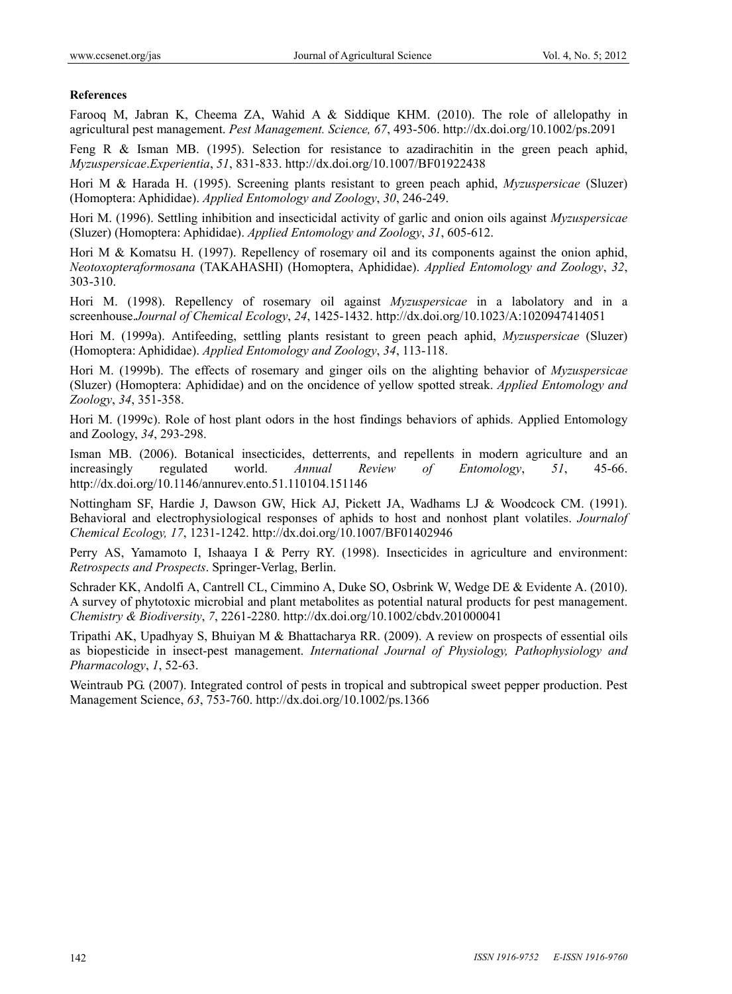## **References**

Farooq M, Jabran K, Cheema ZA, Wahid A & Siddique KHM. (2010). The role of allelopathy in agricultural pest management. *Pest Management. Science, 67*, 493-506. http://dx.doi.org/10.1002/ps.2091

Feng R & Isman MB. (1995). Selection for resistance to azadirachitin in the green peach aphid, *Myzuspersicae*.*Experientia*, *51*, 831-833. http://dx.doi.org/10.1007/BF01922438

Hori M & Harada H. (1995). Screening plants resistant to green peach aphid, *Myzuspersicae* (Sluzer) (Homoptera: Aphididae). *Applied Entomology and Zoology*, *30*, 246-249.

Hori M. (1996). Settling inhibition and insecticidal activity of garlic and onion oils against *Myzuspersicae* (Sluzer) (Homoptera: Aphididae). *Applied Entomology and Zoology*, *31*, 605-612.

Hori M & Komatsu H. (1997). Repellency of rosemary oil and its components against the onion aphid, *Neotoxopteraformosana* (TAKAHASHI) (Homoptera, Aphididae). *Applied Entomology and Zoology*, *32*, 303-310.

Hori M. (1998). Repellency of rosemary oil against *Myzuspersicae* in a labolatory and in a screenhouse.*Journal of Chemical Ecology*, *24*, 1425-1432. http://dx.doi.org/10.1023/A:1020947414051

Hori M. (1999a). Antifeeding, settling plants resistant to green peach aphid, *Myzuspersicae* (Sluzer) (Homoptera: Aphididae). *Applied Entomology and Zoology*, *34*, 113-118.

Hori M. (1999b). The effects of rosemary and ginger oils on the alighting behavior of *Myzuspersicae* (Sluzer) (Homoptera: Aphididae) and on the oncidence of yellow spotted streak. *Applied Entomology and Zoology*, *34*, 351-358.

Hori M. (1999c). Role of host plant odors in the host findings behaviors of aphids. Applied Entomology and Zoology, *34*, 293-298.

Isman MB. (2006). Botanical insecticides, detterrents, and repellents in modern agriculture and an increasingly regulated world. *Annual Review of Entomology*, *51*, 45-66. http://dx.doi.org/10.1146/annurev.ento.51.110104.151146

Nottingham SF, Hardie J, Dawson GW, Hick AJ, Pickett JA, Wadhams LJ & Woodcock CM. (1991). Behavioral and electrophysiological responses of aphids to host and nonhost plant volatiles. *Journalof Chemical Ecology, 17*, 1231-1242. http://dx.doi.org/10.1007/BF01402946

Perry AS, Yamamoto I, Ishaaya I & Perry RY. (1998). Insecticides in agriculture and environment: *Retrospects and Prospects*. Springer-Verlag, Berlin.

Schrader KK, Andolfi A, Cantrell CL, Cimmino A, Duke SO, Osbrink W, Wedge DE & Evidente A. (2010). A survey of phytotoxic microbial and plant metabolites as potential natural products for pest management. *Chemistry & Biodiversity*, *7*, 2261-2280. http://dx.doi.org/10.1002/cbdv.201000041

Tripathi AK, Upadhyay S, Bhuiyan M & Bhattacharya RR. (2009). A review on prospects of essential oils as biopesticide in insect-pest management. *International Journal of Physiology, Pathophysiology and Pharmacology*, *1*, 52-63.

Weintraub PG. (2007). Integrated control of pests in tropical and subtropical sweet pepper production. Pest Management Science, *63*, 753-760. http://dx.doi.org/10.1002/ps.1366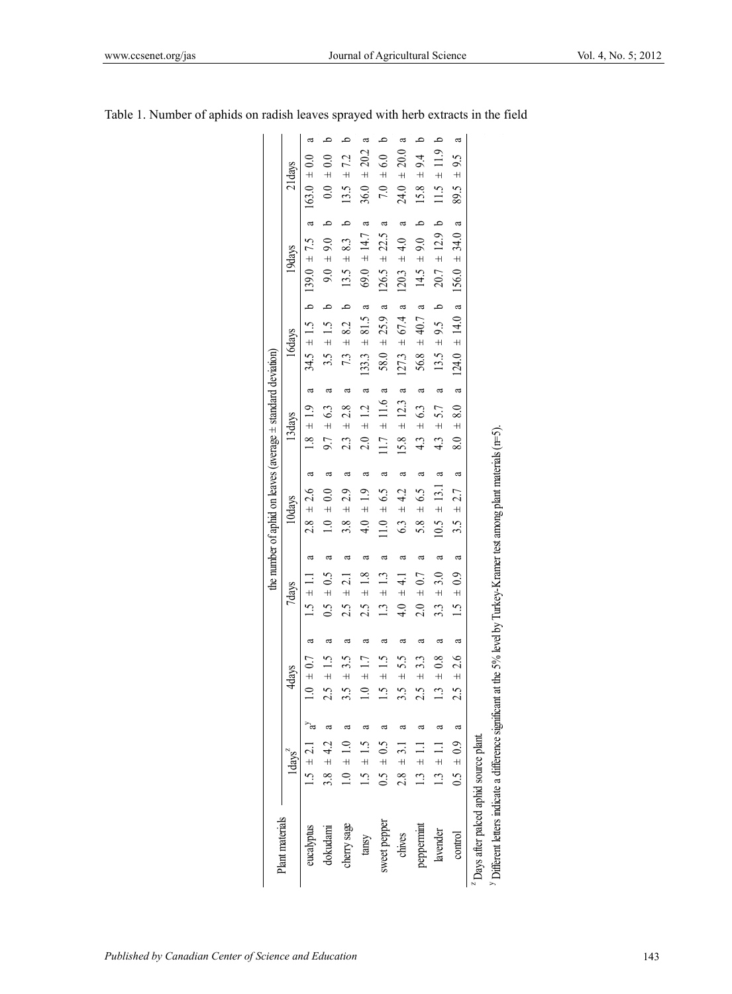|                                                    |                                                                         |                                    |                                 |                             | the number of aphid on leaves (average $\pm$ standard deviation) |                                 |                                  |                                            |                                   |
|----------------------------------------------------|-------------------------------------------------------------------------|------------------------------------|---------------------------------|-----------------------------|------------------------------------------------------------------|---------------------------------|----------------------------------|--------------------------------------------|-----------------------------------|
| Plant materials                                    | $1d$ avs <sup><math>2</math></sup>                                      | 4days                              | 7days                           |                             | 10days                                                           | 13 days                         | 16days                           | 19days                                     | 21days                            |
| eucalyptus                                         | $5 + 21$                                                                | $\pm 0.7$                          | $1.5 \pm 1.1$<br>d              | $\boldsymbol{\mathfrak{a}}$ | ß<br>$2.8 \pm 2.6$                                               | $\mathfrak{a}$<br>$1.8 \pm 1.9$ | $34.5 \pm 1.5$ b $139.0 \pm 7.5$ | d                                          | ß<br>$163.0 \pm 0.0$              |
| dokudami                                           | $3.8 \pm 4.2$                                                           | $\frac{1.5}{1}$                    | $0.5 + 0.5$<br>ß                | a                           | ß<br>$1.0 \pm 0.0$                                               | $\mathfrak{a}$<br>$9.7 \pm 6.3$ | $3.5 \pm 1.5$ b                  | $9.0 \pm 9.0$ b                            | م<br>$0.0 \pm 0.0$                |
| cherry sage                                        | $1.0 \pm 1.0$                                                           | ± 3.5                              | $2.5 \pm 2.1$<br>ß              | ß                           | ß<br>$\pm 2.9$<br>3.8                                            | $\approx$<br>$\pm 2.8$<br>23    | 7.3 $\pm$ 8.2 b                  | $\overline{\phantom{0}}$<br>$13.5 \pm 8.3$ | م<br>$13.5 \pm 7.2$               |
| tansy                                              | $-5.15$                                                                 | $\overline{1.7}$<br>$\overline{+}$ | $2.5 \pm 1.8$<br>a              | ß                           | ß<br>$4.0 \pm 1.9$                                               | $\mathfrak{a}$<br>$2.0 \pm 1.2$ | $133.3 \pm 81.5$ a               | $69.0 \pm 14.7$ a                          | ß<br>$36.0 \pm 20.2$              |
| sweet pepper                                       | $6.5 + 0.5$                                                             | $\pm$ 1.5                          | $\pm$ 1.3<br>$\ddot{1}$<br>ß    | ß                           | ß<br>$1.0 \pm 6.5$                                               | $11.7 \pm 11.6$ a               | $58.0 \pm 25.9$ a                | $\approx$<br>$126.5 \pm 22.5$              | $\frac{d}{dt}$<br>7.0 $\pm$ 6.0   |
| chives                                             | $2.8 \pm 3.1$                                                           | $2.5 +$                            | $\pm$ 4.1<br>$\frac{4}{0}$<br>ß | ß                           | a<br>$\pm$ 4.2<br>63                                             | $15.8 \pm 12.3$ a               | $127.3 \pm 67.4$ a               | ß<br>$120.3 \pm 4.0$                       | $\mathfrak{a}$<br>$24.0 \pm 20.0$ |
| peppermint                                         | $1.3 \pm 1$                                                             | ± 3.3<br>2.5                       | $2.0 \pm 0.7$<br>ß              | ß                           | ß<br>$2.9 \pm$<br>58                                             | $\approx$<br>$4.3 \pm 6.3$      | 56.8 $\pm$ 40.7 a                | م<br>$\pm$ 9.0<br>14.5                     | م<br>± 9.4<br>15.8                |
| lavender                                           | [ +<br>1                                                                | $\pm 0.8$<br>$\tilde{\Xi}$         | $\pm$ 3.0<br>33<br>ß            | a                           | $\mathfrak{a}$<br>$10.5 \pm 13.1$                                | ß<br>± 5.7<br>$4.\overline{3}$  | $13.5 \pm 9.5$ b                 | $20.7 \pm 12.9$ b                          | $11.5 \pm 11.9$ b                 |
| control                                            | a<br>$0.5 \pm 0.9$                                                      | ± 2.6<br>2.5                       | $1.5 \pm 0.9$<br>ß              | $\mathfrak{a}$              | $\mathfrak{a}$<br>$3.5 \pm 2.7$                                  | $\mathfrak{a}$<br>$8.0 \pm 8.0$ | $124.0 \pm 14.0 a$               | $156.0 \pm 34.0 a$                         | $\mathfrak{a}$<br>$89.5 \pm 9.5$  |
| <sup>2</sup> Days after palced aphid source plant. |                                                                         |                                    |                                 |                             |                                                                  |                                 |                                  |                                            |                                   |
|                                                    | <sup>y</sup> Different letters indicate a difference significant at the |                                    |                                 |                             | he 5% level by Turkey-Kramer test among plant materials (n=5).   |                                 |                                  |                                            |                                   |

|  | Table 1. Number of aphids on radish leaves sprayed with herb extracts in the field |  |  |
|--|------------------------------------------------------------------------------------|--|--|
|  |                                                                                    |  |  |